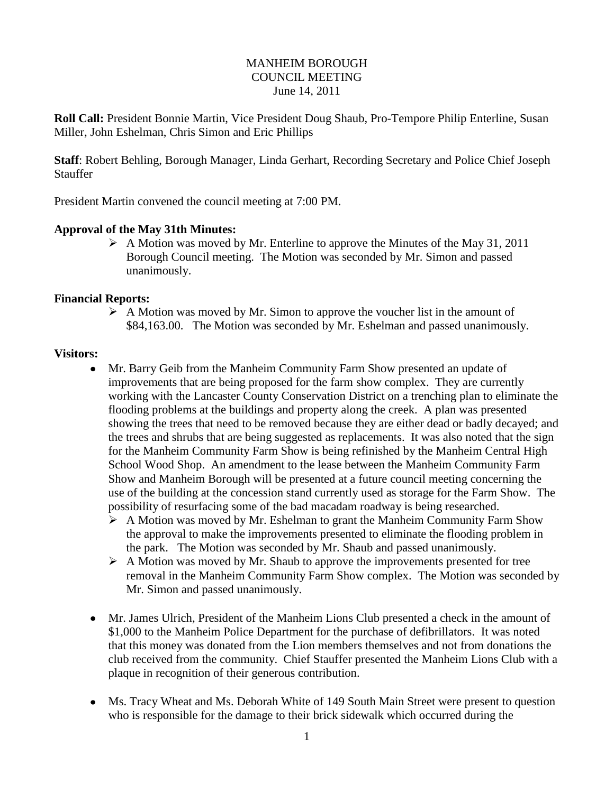### MANHEIM BOROUGH COUNCIL MEETING June 14, 2011

**Roll Call:** President Bonnie Martin, Vice President Doug Shaub, Pro-Tempore Philip Enterline, Susan Miller, John Eshelman, Chris Simon and Eric Phillips

**Staff**: Robert Behling, Borough Manager, Linda Gerhart, Recording Secretary and Police Chief Joseph **Stauffer** 

President Martin convened the council meeting at 7:00 PM.

### **Approval of the May 31th Minutes:**

 $\triangleright$  A Motion was moved by Mr. Enterline to approve the Minutes of the May 31, 2011 Borough Council meeting. The Motion was seconded by Mr. Simon and passed unanimously.

#### **Financial Reports:**

 $\triangleright$  A Motion was moved by Mr. Simon to approve the voucher list in the amount of \$84,163.00. The Motion was seconded by Mr. Eshelman and passed unanimously.

#### **Visitors:**

- $\bullet$ Mr. Barry Geib from the Manheim Community Farm Show presented an update of improvements that are being proposed for the farm show complex. They are currently working with the Lancaster County Conservation District on a trenching plan to eliminate the flooding problems at the buildings and property along the creek. A plan was presented showing the trees that need to be removed because they are either dead or badly decayed; and the trees and shrubs that are being suggested as replacements. It was also noted that the sign for the Manheim Community Farm Show is being refinished by the Manheim Central High School Wood Shop. An amendment to the lease between the Manheim Community Farm Show and Manheim Borough will be presented at a future council meeting concerning the use of the building at the concession stand currently used as storage for the Farm Show. The possibility of resurfacing some of the bad macadam roadway is being researched.
	- $\triangleright$  A Motion was moved by Mr. Eshelman to grant the Manheim Community Farm Show the approval to make the improvements presented to eliminate the flooding problem in the park. The Motion was seconded by Mr. Shaub and passed unanimously.
	- $\triangleright$  A Motion was moved by Mr. Shaub to approve the improvements presented for tree removal in the Manheim Community Farm Show complex. The Motion was seconded by Mr. Simon and passed unanimously.
- Mr. James Ulrich, President of the Manheim Lions Club presented a check in the amount of \$1,000 to the Manheim Police Department for the purchase of defibrillators. It was noted that this money was donated from the Lion members themselves and not from donations the club received from the community. Chief Stauffer presented the Manheim Lions Club with a plaque in recognition of their generous contribution.
- Ms. Tracy Wheat and Ms. Deborah White of 149 South Main Street were present to question who is responsible for the damage to their brick sidewalk which occurred during the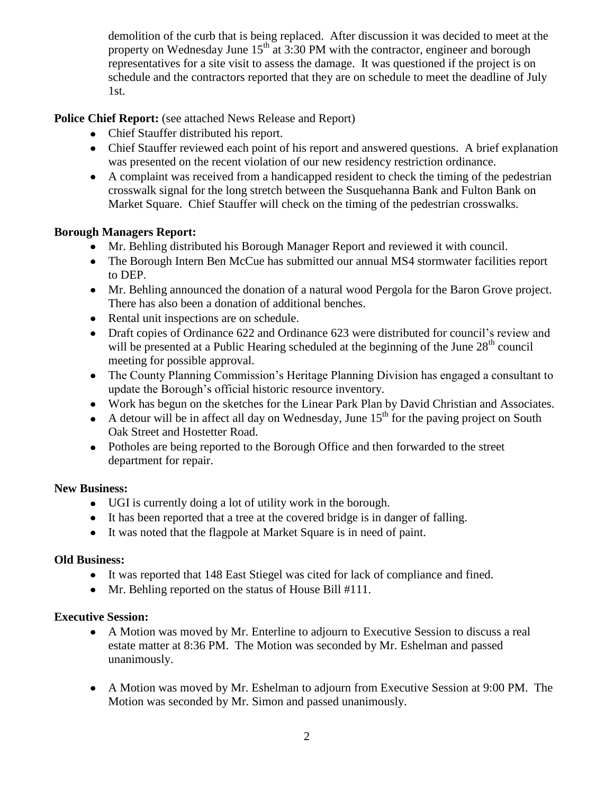demolition of the curb that is being replaced. After discussion it was decided to meet at the property on Wednesday June  $15<sup>th</sup>$  at 3:30 PM with the contractor, engineer and borough representatives for a site visit to assess the damage. It was questioned if the project is on schedule and the contractors reported that they are on schedule to meet the deadline of July 1st.

# **Police Chief Report:** (see attached News Release and Report)

- Chief Stauffer distributed his report.
- Chief Stauffer reviewed each point of his report and answered questions. A brief explanation was presented on the recent violation of our new residency restriction ordinance.
- A complaint was received from a handicapped resident to check the timing of the pedestrian crosswalk signal for the long stretch between the Susquehanna Bank and Fulton Bank on Market Square. Chief Stauffer will check on the timing of the pedestrian crosswalks.

# **Borough Managers Report:**

- Mr. Behling distributed his Borough Manager Report and reviewed it with council.
- The Borough Intern Ben McCue has submitted our annual MS4 stormwater facilities report to DEP.
- Mr. Behling announced the donation of a natural wood Pergola for the Baron Grove project. There has also been a donation of additional benches.
- Rental unit inspections are on schedule.
- Draft copies of Ordinance 622 and Ordinance 623 were distributed for council's review and will be presented at a Public Hearing scheduled at the beginning of the June  $28<sup>th</sup>$  council meeting for possible approval.
- The County Planning Commission's Heritage Planning Division has engaged a consultant to update the Borough's official historic resource inventory.
- Work has begun on the sketches for the Linear Park Plan by David Christian and Associates.
- A detour will be in affect all day on Wednesday, June  $15<sup>th</sup>$  for the paving project on South Oak Street and Hostetter Road.
- Potholes are being reported to the Borough Office and then forwarded to the street department for repair.

# **New Business:**

- UGI is currently doing a lot of utility work in the borough.
- It has been reported that a tree at the covered bridge is in danger of falling.
- It was noted that the flagpole at Market Square is in need of paint.

# **Old Business:**

- It was reported that 148 East Stiegel was cited for lack of compliance and fined.
- Mr. Behling reported on the status of House Bill #111.

### **Executive Session:**

- A Motion was moved by Mr. Enterline to adjourn to Executive Session to discuss a real estate matter at 8:36 PM. The Motion was seconded by Mr. Eshelman and passed unanimously.
- A Motion was moved by Mr. Eshelman to adjourn from Executive Session at 9:00 PM. The Motion was seconded by Mr. Simon and passed unanimously.